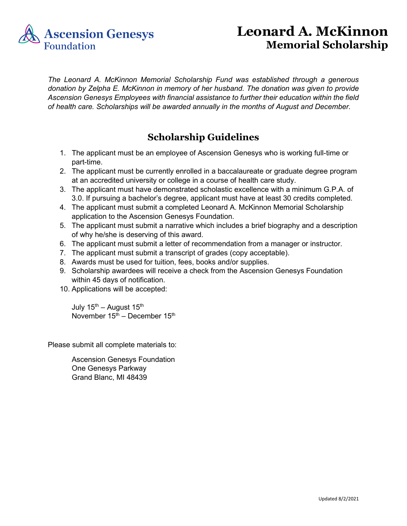

## **Leonard A. McKinnon Memorial Scholarship**

*The Leonard A. McKinnon Memorial Scholarship Fund was established through a generous donation by Zelpha E. McKinnon in memory of her husband. The donation was given to provide Ascension Genesys Employees with financial assistance to further their education within the field of health care. Scholarships will be awarded annually in the months of August and December.*

## **Scholarship Guidelines**

- 1. The applicant must be an employee of Ascension Genesys who is working full-time or part-time.
- 2. The applicant must be currently enrolled in a baccalaureate or graduate degree program at an accredited university or college in a course of health care study.
- 3. The applicant must have demonstrated scholastic excellence with a minimum G.P.A. of 3.0. If pursuing a bachelor's degree, applicant must have at least 30 credits completed.
- 4. The applicant must submit a completed Leonard A. McKinnon Memorial Scholarship application to the Ascension Genesys Foundation.
- 5. The applicant must submit a narrative which includes a brief biography and a description of why he/she is deserving of this award.
- 6. The applicant must submit a letter of recommendation from a manager or instructor.
- 7. The applicant must submit a transcript of grades (copy acceptable).
- 8. Awards must be used for tuition, fees, books and/or supplies.
- 9. Scholarship awardees will receive a check from the Ascension Genesys Foundation within 45 days of notification.
- 10. Applications will be accepted:

July  $15^{th}$  – August  $15^{th}$ November  $15<sup>th</sup>$  – December  $15<sup>th</sup>$ 

Please submit all complete materials to:

Ascension Genesys Foundation One Genesys Parkway Grand Blanc, MI 48439